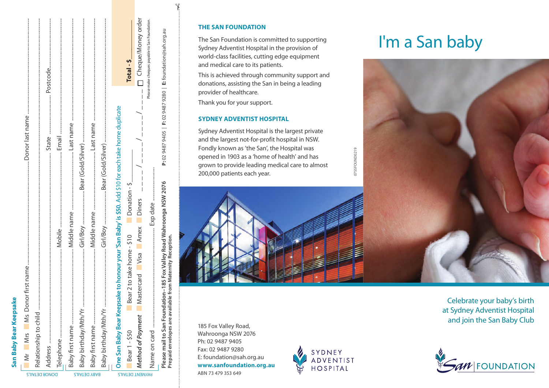| ć        |
|----------|
|          |
| í        |
| ı<br>ı   |
| r        |
| r        |
|          |
|          |
| í        |
| a        |
| n.       |
|          |
|          |
| ï<br>n e |
|          |
| ı        |
| r<br>í   |
|          |

|             |                       |               |  |                                                                                                     |                     |                     |                                                                                                     | Total - \$                                                                             | Cheque/Money orde                                     | Please make cheques payable to San Foundation |
|-------------|-----------------------|---------------|--|-----------------------------------------------------------------------------------------------------|---------------------|---------------------|-----------------------------------------------------------------------------------------------------|----------------------------------------------------------------------------------------|-------------------------------------------------------|-----------------------------------------------|
| SIAL SIM IM | Relationship to child | DONOR DETAILS |  | Baby birthday/Mth/Yr ……………………………………………………………………………Bear (Gold/Silver) ……………………………………………………………………………… | <b>BABY DETAILS</b> | Baby birthday/Mth/Y | One San Baby Bear Keepsake to honour your 'San Baby' is \$50. Add \$10 for each take home duplicate | Donation - \$<br>Bear 2 to take home - \$10<br>Bear 1 - \$50<br><b>PAYMENT DETAILS</b> | I<br>Mastercard Visa Amex Diners<br>Method of Payment | Evanto<br> מירה ממה הייר                      |
|             |                       |               |  |                                                                                                     |                     |                     |                                                                                                     |                                                                                        |                                                       |                                               |

|  | DONOK DE |  |
|--|----------|--|
|  |          |  |
|  |          |  |

|  | <b>T DETAILS</b> |
|--|------------------|
|  |                  |

Name on card .......................................................................... Exp date .........................

mail to San Foundation-185 Fox Valley Road Wahroonga NSW 2076

**Please mail to San Foundation–185 Fox Valley Road Wahroonga NSW 2076 P:** 02 9487 9405 | **F:** 02 9487 9280 | **E:** foundation@sah.org.au

**P:** 02 9487 9405 | F: 02 9487 9280 | E: foundation@sah.org.au

| <b>THE SAN FOUNDATION</b> |  |  |
|---------------------------|--|--|
|                           |  |  |

The San Foundation is committed to supporting Sydney Adventist Hospital in the provision of world-class facilities, cutting edge equipment and medical care to its patients.

This is achieved through community support and donations, assisting the San in being a leading provider of healthcare.

Thank you for your support.

## **SYDNEY ADVENTIST HOSPITAL**

Sydney Adventist Hospital is the largest private and the largest not-for-profit hospital in NSW. Fondly known as 'the San', the Hospital was opened in 1903 as a 'home of health' and has grown to provide leading medical care to almost 200,000 patients each year.



185 Fox Valley Road, Wahroonga NSW 2076 Ph: 02 9487 9405 Fax: 02 9487 9280 E: foundation@sah.org.au **www.sanfoundation.org.au** ABN 73 479 353 649



0755FOUND0219

0755FOUND0219

# I'm a San baby



Celebrate your baby's birth at Sydney Adventist Hospital and join the San Baby Club